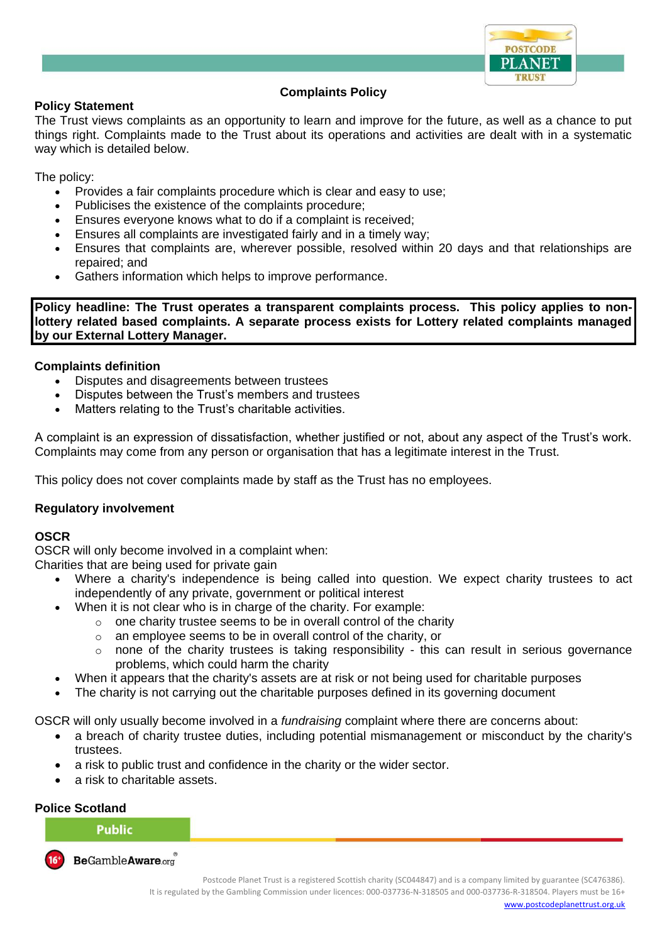

# **Complaints Policy**

#### **Policy Statement**

The Trust views complaints as an opportunity to learn and improve for the future, as well as a chance to put things right. Complaints made to the Trust about its operations and activities are dealt with in a systematic way which is detailed below.

The policy:

- Provides a fair complaints procedure which is clear and easy to use;
- Publicises the existence of the complaints procedure;
- Ensures everyone knows what to do if a complaint is received;
- Ensures all complaints are investigated fairly and in a timely way;
- Ensures that complaints are, wherever possible, resolved within 20 days and that relationships are repaired; and
- Gathers information which helps to improve performance.

**Policy headline: The Trust operates a transparent complaints process. This policy applies to nonlottery related based complaints. A separate process exists for Lottery related complaints managed by our External Lottery Manager.**

#### **Complaints definition**

- Disputes and disagreements between trustees
- Disputes between the Trust's members and trustees
- Matters relating to the Trust's charitable activities.

A complaint is an expression of dissatisfaction, whether justified or not, about any aspect of the Trust's work. Complaints may come from any person or organisation that has a legitimate interest in the Trust.

This policy does not cover complaints made by staff as the Trust has no employees.

# **Regulatory involvement**

#### **OSCR**

OSCR will only become involved in a complaint when:

Charities that are being used for private gain

- Where a charity's independence is being called into question. We expect charity trustees to act independently of any private, government or political interest
	- When it is not clear who is in charge of the charity. For example:
		- $\circ$  one charity trustee seems to be in overall control of the charity
		- o an employee seems to be in overall control of the charity, or
		- none of the charity trustees is taking responsibility this can result in serious governance problems, which could harm the charity
- When it appears that the charity's assets are at risk or not being used for charitable purposes
- The charity is not carrying out the charitable purposes defined in its governing document

OSCR will only usually become involved in a *fundraising* complaint where there are concerns about:

- a breach of charity trustee duties, including potential mismanagement or misconduct by the charity's trustees.
- a risk to public trust and confidence in the charity or the wider sector.
- a risk to charitable assets.

#### **Police Scotland**

# **Public**

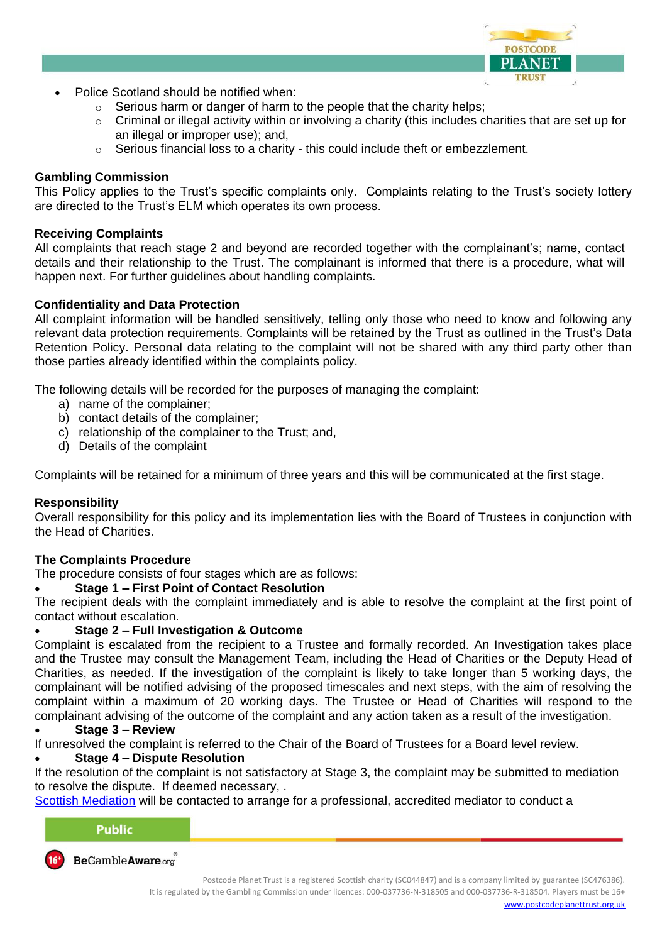

- Police Scotland should be notified when:
	- o Serious harm or danger of harm to the people that the charity helps;
	- $\circ$  Criminal or illegal activity within or involving a charity (this includes charities that are set up for an illegal or improper use); and,
	- $\circ$  Serious financial loss to a charity this could include theft or embezzlement.

# **Gambling Commission**

This Policy applies to the Trust's specific complaints only. Complaints relating to the Trust's society lottery are directed to the Trust's ELM which operates its own process.

#### **Receiving Complaints**

All complaints that reach stage 2 and beyond are recorded together with the complainant's; name, contact details and their relationship to the Trust. The complainant is informed that there is a procedure, what will happen next. For further guidelines about handling complaints.

# **Confidentiality and Data Protection**

All complaint information will be handled sensitively, telling only those who need to know and following any relevant data protection requirements. Complaints will be retained by the Trust as outlined in the Trust's Data Retention Policy. Personal data relating to the complaint will not be shared with any third party other than those parties already identified within the complaints policy.

The following details will be recorded for the purposes of managing the complaint:

- a) name of the complainer;
- b) contact details of the complainer;
- c) relationship of the complainer to the Trust; and,
- d) Details of the complaint

Complaints will be retained for a minimum of three years and this will be communicated at the first stage.

# **Responsibility**

Overall responsibility for this policy and its implementation lies with the Board of Trustees in conjunction with the Head of Charities.

# **The Complaints Procedure**

The procedure consists of four stages which are as follows:

# • **Stage 1 – First Point of Contact Resolution**

The recipient deals with the complaint immediately and is able to resolve the complaint at the first point of contact without escalation.

# • **Stage 2 – Full Investigation & Outcome**

Complaint is escalated from the recipient to a Trustee and formally recorded. An Investigation takes place and the Trustee may consult the Management Team, including the Head of Charities or the Deputy Head of Charities, as needed. If the investigation of the complaint is likely to take longer than 5 working days, the complainant will be notified advising of the proposed timescales and next steps, with the aim of resolving the complaint within a maximum of 20 working days. The Trustee or Head of Charities will respond to the complainant advising of the outcome of the complaint and any action taken as a result of the investigation.

# • **Stage 3 – Review**

If unresolved the complaint is referred to the Chair of the Board of Trustees for a Board level review.

# • **Stage 4 – Dispute Resolution**

If the resolution of the complaint is not satisfactory at Stage 3, the complaint may be submitted to mediation to resolve the dispute. If deemed necessary, .

[Scottish Mediation](https://www.scottishmediation.org.uk/) will be contacted to arrange for a professional, accredited mediator to conduct a

| <b>Public</b>                                                 |  |
|---------------------------------------------------------------|--|
| and the state of the control of the control of the control of |  |

BeGambleAware.org